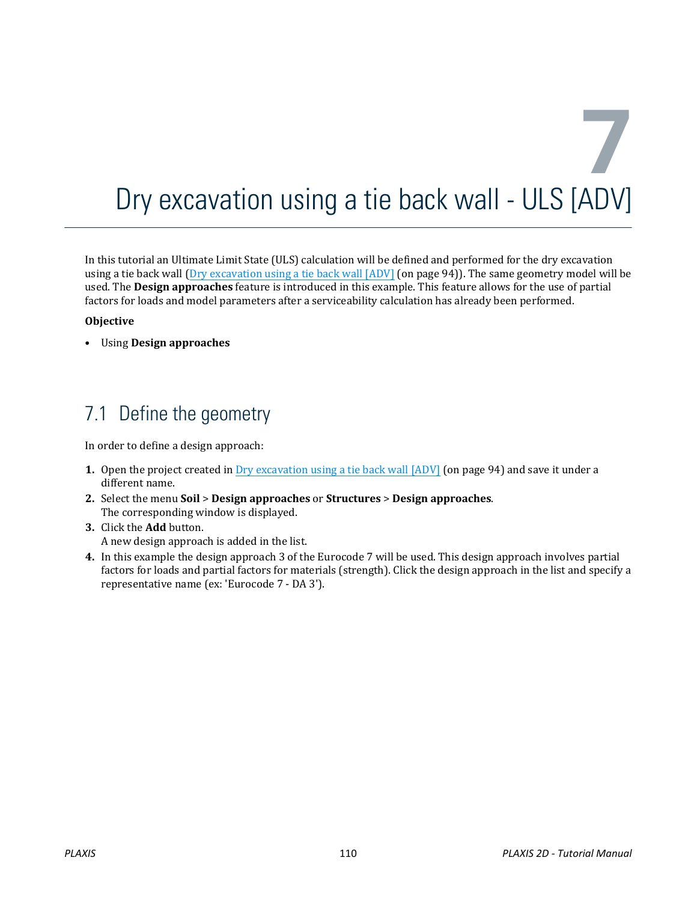# **7** Dry excavation using a tie back wall - ULS [ADV]

In this tutorial an Ultimate Limit State (ULS) calculation will be defined and performed for the dry excavation using a tie back wall (Dry excavation using a tie back wall [ADV] (on page 94)). The same geometry model will be used. The **Design approaches** feature is introduced in this example. This feature allows for the use of partial factors for loads and model parameters after a serviceability calculation has already been performed.

#### **Objective**

• Using **Design approaches**

# 7.1 Define the geometry

In order to define a design approach:

- **1.** Open the project created in Dry excavation using a tie back wall [ADV] (on page 94) and save it under a different name.
- **2.** Select the menu **Soil** > **Design approaches** or **Structures** > **Design approaches**. The corresponding window is displayed.
- **3.** Click the **Add** button. A new design approach is added in the list.
- **4.** In this example the design approach 3 of the Eurocode 7 will be used. This design approach involves partial factors for loads and partial factors for materials (strength). Click the design approach in the list and specify a representative name (ex: 'Eurocode 7 - DA 3').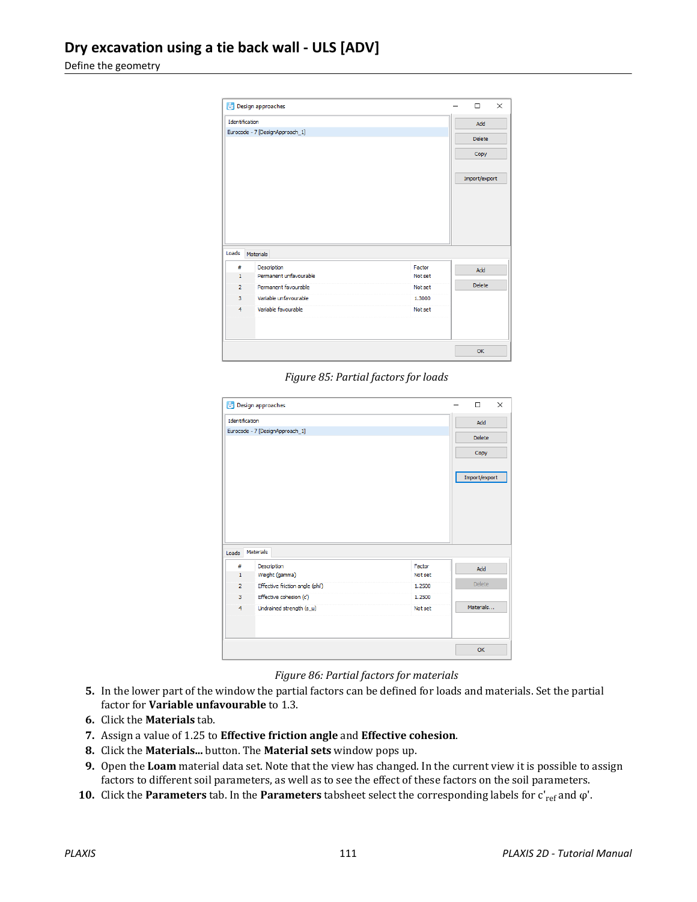Define the geometry

|                         | Design approaches               |         | $\Box$        | $\times$ |
|-------------------------|---------------------------------|---------|---------------|----------|
| Identification          |                                 |         | Add           |          |
|                         | Eurocode - 7 [DesignApproach_1] |         | <b>Delete</b> |          |
|                         |                                 |         | Copy          |          |
|                         |                                 |         | Import/export |          |
|                         |                                 |         |               |          |
|                         | <b>Materials</b>                |         |               |          |
| #                       | Description                     | Factor  |               |          |
| $\mathbf{1}$            | Permanent unfavourable          | Not set | Add           |          |
| $\overline{2}$          | Permanent favourable            | Not set | <b>Delete</b> |          |
| 3                       | Variable unfavourable           | 1,3000  |               |          |
| Loads<br>$\overline{4}$ | Variable favourable             | Not set |               |          |
|                         |                                 |         |               |          |

*Figure 85: Partial factors for loads*

|                | Design approaches               |         |               |  |
|----------------|---------------------------------|---------|---------------|--|
| Identification |                                 |         | Add           |  |
|                | Eurocode - 7 [DesignApproach_1] |         | <b>Delete</b> |  |
|                |                                 |         |               |  |
|                |                                 |         | Copy          |  |
|                |                                 |         |               |  |
|                |                                 |         | Import/export |  |
|                |                                 |         |               |  |
|                |                                 |         |               |  |
|                |                                 |         |               |  |
|                |                                 |         |               |  |
|                |                                 |         |               |  |
|                |                                 |         |               |  |
|                | <b>Materials</b>                |         |               |  |
| Loads<br>#     |                                 | Factor  |               |  |
| $\mathbf{1}$   | Description<br>Weight (gamma)   | Not set | Add           |  |
| $\overline{2}$ | Effective friction angle (phi') | 1.2500  | <b>Delete</b> |  |
| 3              | Effective cohesion (c')         | 1.2500  |               |  |
| $\overline{4}$ | Undrained strength (s_u)        | Not set | Materials     |  |
|                |                                 |         |               |  |
|                |                                 |         |               |  |
|                |                                 |         |               |  |

*Figure 86: Partial factors for materials*

- **5.** In the lower part of the window the partial factors can be defined for loads and materials. Set the partial factor for **Variable unfavourable** to 1.3.
- **6.** Click the **Materials** tab.
- **7.** Assign a value of 1.25 to **Effective friction angle** and **Effective cohesion**.
- **8.** Click the **Materials...** button. The **Material sets** window pops up.
- **9.** Open the **Loam** material data set. Note that the view has changed. In the current view it is possible to assign factors to different soil parameters, as well as to see the effect of these factors on the soil parameters.
- **10.** Click the **Parameters** tab. In the **Parameters** tabsheet select the corresponding labels for c'<sub>ref</sub> and φ'.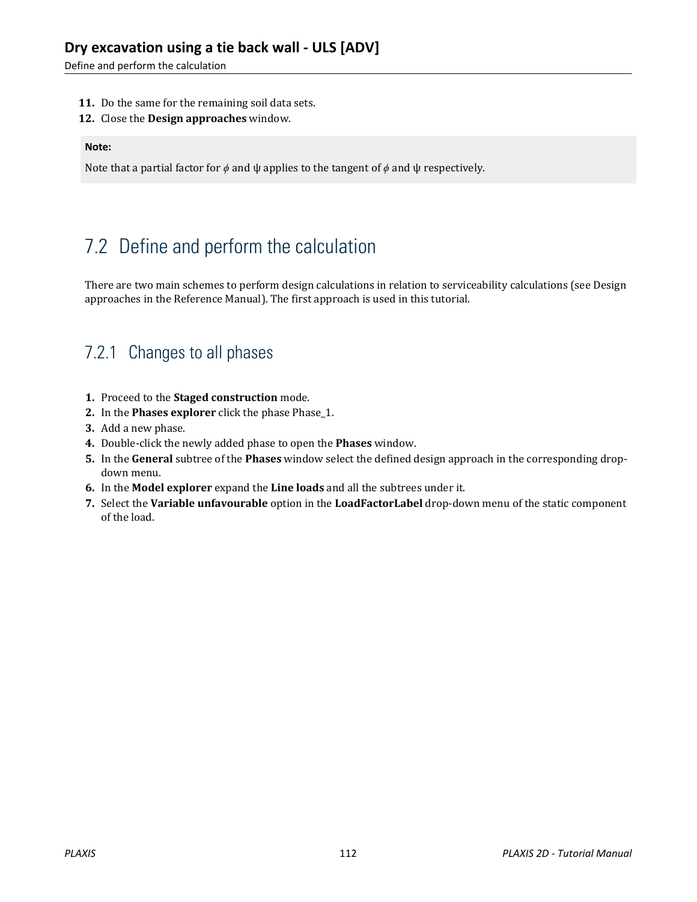Define and perform the calculation

- **11.** Do the same for the remaining soil data sets.
- **12.** Close the **Design approaches** window.

#### **Note:**

Note that a partial factor for *ϕ* and ψ applies to the tangent of *ϕ* and ψ respectively.

# 7.2 Define and perform the calculation

There are two main schemes to perform design calculations in relation to serviceability calculations (see Design approaches in the Reference Manual). The first approach is used in this tutorial.

#### 7.2.1 Changes to all phases

- **1.** Proceed to the **Staged construction** mode.
- **2.** In the **Phases explorer** click the phase Phase\_1.
- **3.** Add a new phase.
- **4.** Double-click the newly added phase to open the **Phases** window.
- **5.** In the **General** subtree of the **Phases** window select the defined design approach in the corresponding dropdown menu.
- **6.** In the **Model explorer** expand the **Line loads** and all the subtrees under it.
- **7.** Select the **Variable unfavourable** option in the **LoadFactorLabel** drop-down menu of the static component of the load.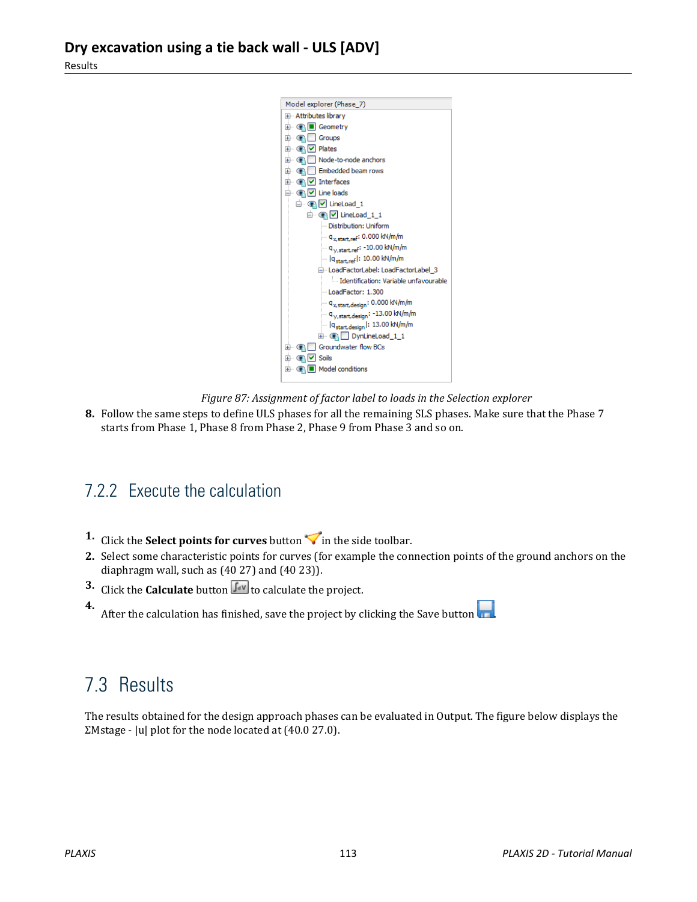

*Figure 87: Assignment of factor label to loads in the Selection explorer*

**8.** Follow the same steps to define ULS phases for all the remaining SLS phases. Make sure that the Phase 7 starts from Phase 1, Phase 8 from Phase 2, Phase 9 from Phase 3 and so on.

### 7.2.2 Execute the calculation

- **1.** Click the **Select points for curves** button  $\triangledown$  in the side toolbar.
- **2.** Select some characteristic points for curves (for example the connection points of the ground anchors on the diaphragm wall, such as (40 27) and (40 23)).
- **3.** Click the **Calculate** button  $\int_{0}^{\infty}$  to calculate the project.
- **4.** After the calculation has finished, save the project by clicking the Save button  $\begin{array}{|c|c|}\n\hline\n\end{array}$

## 7.3 Results

The results obtained for the design approach phases can be evaluated in Output. The figure below displays the ΣMstage - |u| plot for the node located at (40.0 27.0).